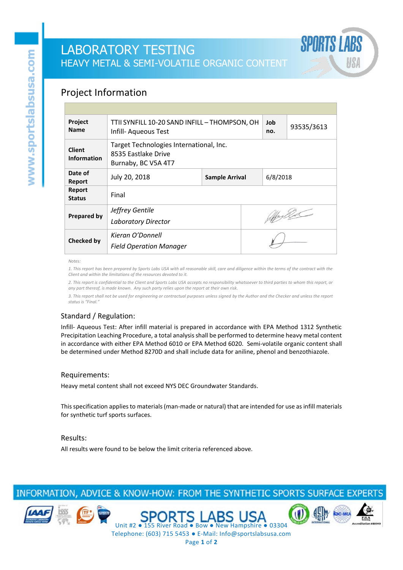# LABORATORY TESTING HEAVY METAL & SEMI-VOLATILE ORGANIC CONTENT

### Project Information

| Project<br><b>Name</b>              | TTII SYNFILL 10-20 SAND INFILL - THOMPSON, OH<br>Infill- Aqueous Test                 |                |  | Job<br>no. | 93535/3613 |  |
|-------------------------------------|---------------------------------------------------------------------------------------|----------------|--|------------|------------|--|
| <b>Client</b><br><b>Information</b> | Target Technologies International, Inc.<br>8535 Eastlake Drive<br>Burnaby, BC V5A 4T7 |                |  |            |            |  |
| Date of<br>Report                   | July 20, 2018                                                                         | Sample Arrival |  | 6/8/2018   |            |  |
| Report<br><b>Status</b>             | Final                                                                                 |                |  |            |            |  |
| <b>Prepared by</b>                  | Jeffrey Gentile<br><b>Laboratory Director</b>                                         |                |  | affrydd    |            |  |
| <b>Checked by</b>                   | Kieran O'Donnell<br><b>Field Operation Manager</b>                                    |                |  |            |            |  |

*Notes:*

*1. This report has been prepared by Sports Labs USA with all reasonable skill, care and diligence within the terms of the contract with the Client and within the limitations of the resources devoted to it.*

*2. This report is confidential to the Client and Sports Labs USA accepts no responsibility whatsoever to third parties to whom this report, or any part thereof, is made known. Any such party relies upon the report at their own risk.*

*3. This report shall not be used for engineering or contractual purposes unless signed by the Author and the Checker and unless the report status is "Final."*

### Standard / Regulation:

Infill- Aqueous Test: After infill material is prepared in accordance with EPA Method 1312 Synthetic Precipitation Leaching Procedure, a total analysis shall be performed to determine heavy metal content in accordance with either EPA Method 6010 or EPA Method 6020. Semi-volatile organic content shall be determined under Method 8270D and shall include data for aniline, phenol and benzothiazole.

#### Requirements:

Heavy metal content shall not exceed NYS DEC Groundwater Standards.

This specification applies to materials (man-made or natural) that are intended for use as infill materials for synthetic turf sports surfaces.

#### Results:

All results were found to be below the limit criteria referenced above.

## INFORMATION, ADVICE & KNOW-HOW: FROM THE SYNTHETIC SPORTS SURFACE EXPERTS









Telephone: (603) 715 5453 ● E-Mail: Info@sportslabsusa.com